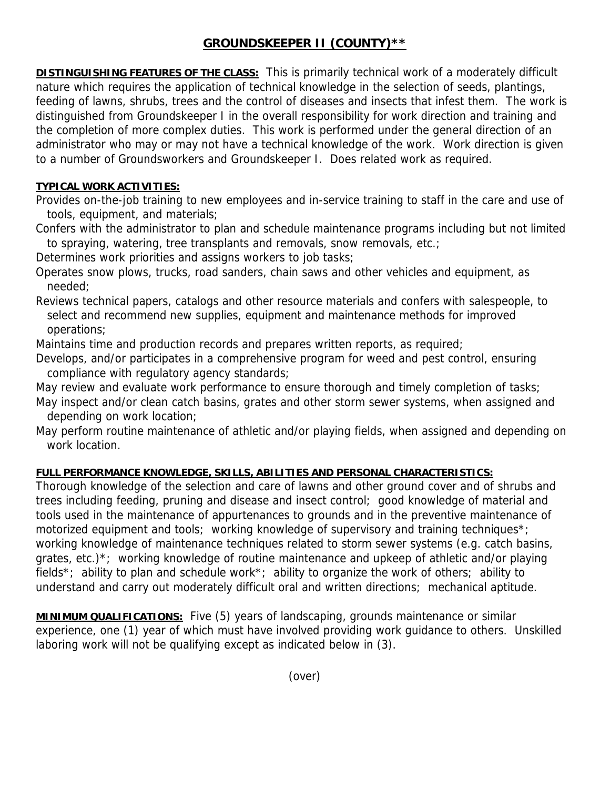## **GROUNDSKEEPER II (COUNTY)\*\***

**DISTINGUISHING FEATURES OF THE CLASS:** This is primarily technical work of a moderately difficult nature which requires the application of technical knowledge in the selection of seeds, plantings, feeding of lawns, shrubs, trees and the control of diseases and insects that infest them. The work is distinguished from Groundskeeper I in the overall responsibility for work direction and training and the completion of more complex duties. This work is performed under the general direction of an administrator who may or may not have a technical knowledge of the work. Work direction is given to a number of Groundsworkers and Groundskeeper I. Does related work as required.

## **TYPICAL WORK ACTIVITIES:**

Provides on-the-job training to new employees and in-service training to staff in the care and use of tools, equipment, and materials;

Confers with the administrator to plan and schedule maintenance programs including but not limited to spraying, watering, tree transplants and removals, snow removals, etc.;

Determines work priorities and assigns workers to job tasks;

Operates snow plows, trucks, road sanders, chain saws and other vehicles and equipment, as needed;

Reviews technical papers, catalogs and other resource materials and confers with salespeople, to select and recommend new supplies, equipment and maintenance methods for improved operations;

Maintains time and production records and prepares written reports, as required;

Develops, and/or participates in a comprehensive program for weed and pest control, ensuring compliance with regulatory agency standards;

May review and evaluate work performance to ensure thorough and timely completion of tasks;

- May inspect and/or clean catch basins, grates and other storm sewer systems, when assigned and depending on work location;
- May perform routine maintenance of athletic and/or playing fields, when assigned and depending on work location.

## **FULL PERFORMANCE KNOWLEDGE, SKILLS, ABILITIES AND PERSONAL CHARACTERISTICS:**

Thorough knowledge of the selection and care of lawns and other ground cover and of shrubs and trees including feeding, pruning and disease and insect control; good knowledge of material and tools used in the maintenance of appurtenances to grounds and in the preventive maintenance of motorized equipment and tools; working knowledge of supervisory and training techniques<sup>\*</sup>; working knowledge of maintenance techniques related to storm sewer systems (e.g. catch basins, grates, etc.)\*; working knowledge of routine maintenance and upkeep of athletic and/or playing fields<sup>\*</sup>; ability to plan and schedule work<sup>\*</sup>; ability to organize the work of others; ability to understand and carry out moderately difficult oral and written directions; mechanical aptitude.

**MINIMUM QUALIFICATIONS:** Five (5) years of landscaping, grounds maintenance or similar experience, one (1) year of which must have involved providing work guidance to others. Unskilled laboring work will not be qualifying except as indicated below in (3).

(over)